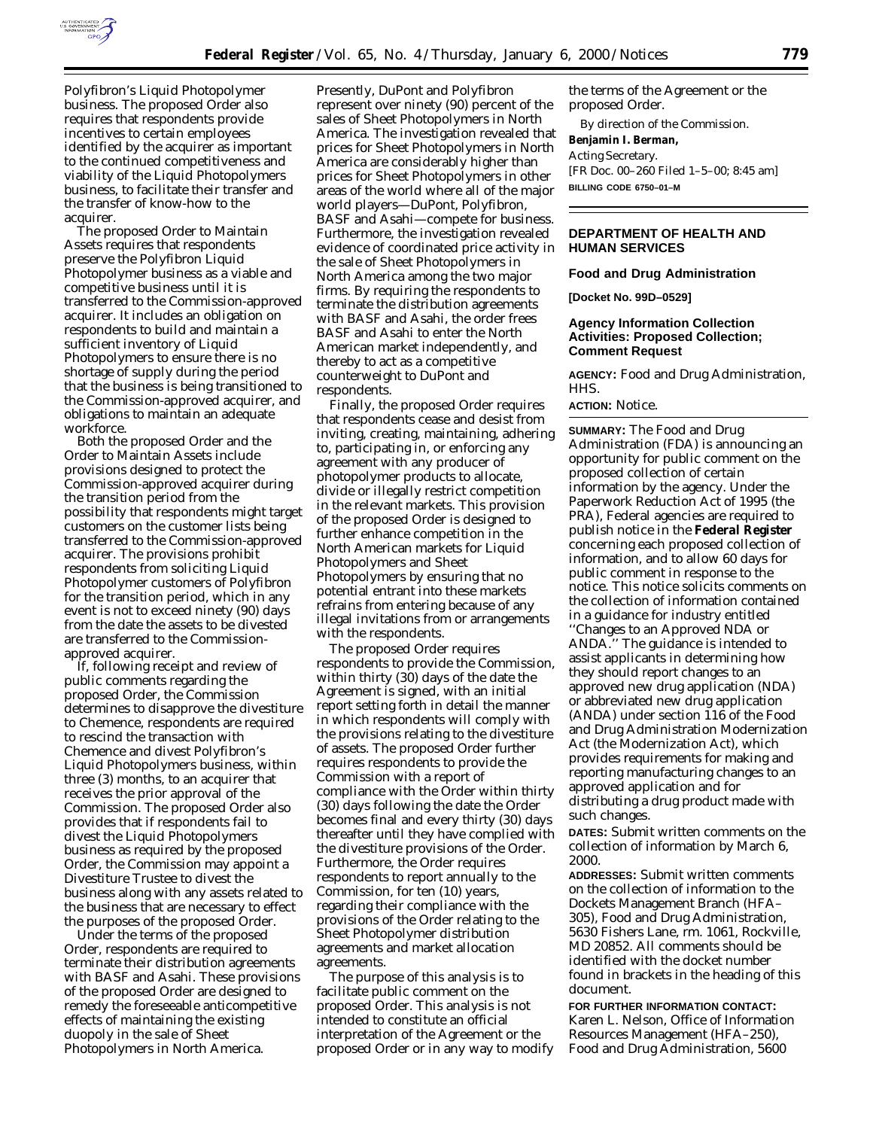

Polyfibron's Liquid Photopolymer business. The proposed Order also requires that respondents provide incentives to certain employees identified by the acquirer as important to the continued competitiveness and viability of the Liquid Photopolymers business, to facilitate their transfer and the transfer of know-how to the acquirer.

The proposed Order to Maintain Assets requires that respondents preserve the Polyfibron Liquid Photopolymer business as a viable and competitive business until it is transferred to the Commission-approved acquirer. It includes an obligation on respondents to build and maintain a sufficient inventory of Liquid Photopolymers to ensure there is no shortage of supply during the period that the business is being transitioned to the Commission-approved acquirer, and obligations to maintain an adequate workforce.

Both the proposed Order and the Order to Maintain Assets include provisions designed to protect the Commission-approved acquirer during the transition period from the possibility that respondents might target customers on the customer lists being transferred to the Commission-approved acquirer. The provisions prohibit respondents from soliciting Liquid Photopolymer customers of Polyfibron for the transition period, which in any event is not to exceed ninety (90) days from the date the assets to be divested are transferred to the Commissionapproved acquirer.

If, following receipt and review of public comments regarding the proposed Order, the Commission determines to disapprove the divestiture to Chemence, respondents are required to rescind the transaction with Chemence and divest Polyfibron's Liquid Photopolymers business, within three (3) months, to an acquirer that receives the prior approval of the Commission. The proposed Order also provides that if respondents fail to divest the Liquid Photopolymers business as required by the proposed Order, the Commission may appoint a Divestiture Trustee to divest the business along with any assets related to the business that are necessary to effect the purposes of the proposed Order.

Under the terms of the proposed Order, respondents are required to terminate their distribution agreements with BASF and Asahi. These provisions of the proposed Order are designed to remedy the foreseeable anticompetitive effects of maintaining the existing duopoly in the sale of Sheet Photopolymers in North America.

Presently, DuPont and Polyfibron represent over ninety (90) percent of the sales of Sheet Photopolymers in North America. The investigation revealed that prices for Sheet Photopolymers in North America are considerably higher than prices for Sheet Photopolymers in other areas of the world where all of the major world players—DuPont, Polyfibron, BASF and Asahi—compete for business. Furthermore, the investigation revealed evidence of coordinated price activity in the sale of Sheet Photopolymers in North America among the two major firms. By requiring the respondents to terminate the distribution agreements with BASF and Asahi, the order frees BASF and Asahi to enter the North American market independently, and thereby to act as a competitive counterweight to DuPont and respondents.

Finally, the proposed Order requires that respondents cease and desist from inviting, creating, maintaining, adhering to, participating in, or enforcing any agreement with any producer of photopolymer products to allocate, divide or illegally restrict competition in the relevant markets. This provision of the proposed Order is designed to further enhance competition in the North American markets for Liquid Photopolymers and Sheet Photopolymers by ensuring that no potential entrant into these markets refrains from entering because of any illegal invitations from or arrangements with the respondents.

The proposed Order requires respondents to provide the Commission, within thirty (30) days of the date the Agreement is signed, with an initial report setting forth in detail the manner in which respondents will comply with the provisions relating to the divestiture of assets. The proposed Order further requires respondents to provide the Commission with a report of compliance with the Order within thirty (30) days following the date the Order becomes final and every thirty (30) days thereafter until they have complied with the divestiture provisions of the Order. Furthermore, the Order requires respondents to report annually to the Commission, for ten (10) years, regarding their compliance with the provisions of the Order relating to the Sheet Photopolymer distribution agreements and market allocation agreements.

The purpose of this analysis is to facilitate public comment on the proposed Order. This analysis is not intended to constitute an official interpretation of the Agreement or the proposed Order or in any way to modify

the terms of the Agreement or the proposed Order.

By direction of the Commission.

# **Benjamin I. Berman,**

*Acting Secretary.* [FR Doc. 00–260 Filed 1–5–00; 8:45 am] **BILLING CODE 6750–01–M**

## **DEPARTMENT OF HEALTH AND HUMAN SERVICES**

### **Food and Drug Administration**

**[Docket No. 99D–0529]**

# **Agency Information Collection Activities: Proposed Collection; Comment Request**

**AGENCY:** Food and Drug Administration, HHS.

## **ACTION:** Notice.

**SUMMARY:** The Food and Drug Administration (FDA) is announcing an opportunity for public comment on the proposed collection of certain information by the agency. Under the Paperwork Reduction Act of 1995 (the PRA), Federal agencies are required to publish notice in the **Federal Register** concerning each proposed collection of information, and to allow 60 days for public comment in response to the notice. This notice solicits comments on the collection of information contained in a guidance for industry entitled ''Changes to an Approved NDA or ANDA.'' The guidance is intended to assist applicants in determining how they should report changes to an approved new drug application (NDA) or abbreviated new drug application (ANDA) under section 116 of the Food and Drug Administration Modernization Act (the Modernization Act), which provides requirements for making and reporting manufacturing changes to an approved application and for distributing a drug product made with such changes.

**DATES:** Submit written comments on the collection of information by March 6, 2000.

**ADDRESSES:** Submit written comments on the collection of information to the Dockets Management Branch (HFA– 305), Food and Drug Administration, 5630 Fishers Lane, rm. 1061, Rockville, MD 20852. All comments should be identified with the docket number found in brackets in the heading of this document.

**FOR FURTHER INFORMATION CONTACT:** Karen L. Nelson, Office of Information Resources Management (HFA–250), Food and Drug Administration, 5600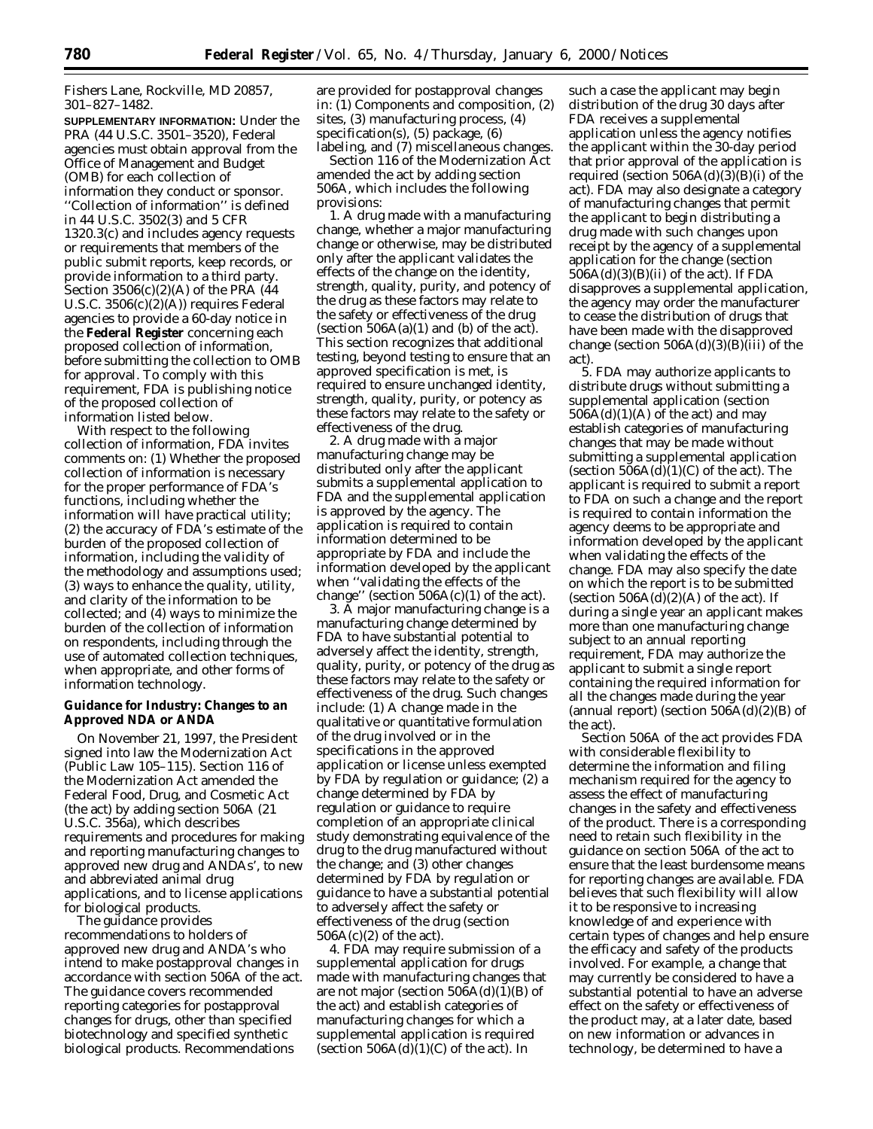Fishers Lane, Rockville, MD 20857, 301–827–1482.

**SUPPLEMENTARY INFORMATION:** Under the PRA (44 U.S.C. 3501–3520), Federal agencies must obtain approval from the Office of Management and Budget (OMB) for each collection of information they conduct or sponsor. ''Collection of information'' is defined in 44 U.S.C. 3502(3) and 5 CFR 1320.3(c) and includes agency requests or requirements that members of the public submit reports, keep records, or provide information to a third party. Section 3506(c)(2)(A) of the PRA (44 U.S.C. 3506(c)(2)(A)) requires Federal agencies to provide a 60-day notice in the **Federal Register** concerning each proposed collection of information, before submitting the collection to OMB for approval. To comply with this requirement, FDA is publishing notice of the proposed collection of information listed below.

With respect to the following collection of information, FDA invites comments on: (1) Whether the proposed collection of information is necessary for the proper performance of FDA's functions, including whether the information will have practical utility; (2) the accuracy of FDA's estimate of the burden of the proposed collection of information, including the validity of the methodology and assumptions used; (3) ways to enhance the quality, utility, and clarity of the information to be collected; and (4) ways to minimize the burden of the collection of information on respondents, including through the use of automated collection techniques, when appropriate, and other forms of information technology.

## **Guidance for Industry: Changes to an Approved NDA or ANDA**

On November 21, 1997, the President signed into law the Modernization Act (Public Law 105–115). Section 116 of the Modernization Act amended the Federal Food, Drug, and Cosmetic Act (the act) by adding section 506A (21 U.S.C. 356a), which describes requirements and procedures for making and reporting manufacturing changes to approved new drug and ANDAs', to new and abbreviated animal drug applications, and to license applications for biological products.

The guidance provides recommendations to holders of approved new drug and ANDA's who intend to make postapproval changes in accordance with section 506A of the act. The guidance covers recommended reporting categories for postapproval changes for drugs, other than specified biotechnology and specified synthetic biological products. Recommendations

are provided for postapproval changes in: (1) Components and composition, (2) sites, (3) manufacturing process, (4) specification(s), (5) package, (6) labeling, and (7) miscellaneous changes.

Section 116 of the Modernization Act amended the act by adding section 506A, which includes the following provisions:

1. A drug made with a manufacturing change, whether a major manufacturing change or otherwise, may be distributed only after the applicant validates the effects of the change on the identity, strength, quality, purity, and potency of the drug as these factors may relate to the safety or effectiveness of the drug (section  $506A(a)(1)$  and (b) of the act). This section recognizes that additional testing, beyond testing to ensure that an approved specification is met, is required to ensure unchanged identity, strength, quality, purity, or potency as these factors may relate to the safety or effectiveness of the drug.

2. A drug made with a major manufacturing change may be distributed only after the applicant submits a supplemental application to FDA and the supplemental application is approved by the agency. The application is required to contain information determined to be appropriate by FDA and include the information developed by the applicant when ''validating the effects of the change'' (section  $506A(c)(1)$  of the act).

3. A major manufacturing change is a manufacturing change determined by FDA to have substantial potential to adversely affect the identity, strength, quality, purity, or potency of the drug as these factors may relate to the safety or effectiveness of the drug. Such changes include: (1) A change made in the qualitative or quantitative formulation of the drug involved or in the specifications in the approved application or license unless exempted by FDA by regulation or guidance; (2) a change determined by FDA by regulation or guidance to require completion of an appropriate clinical study demonstrating equivalence of the drug to the drug manufactured without the change; and (3) other changes determined by FDA by regulation or guidance to have a substantial potential to adversely affect the safety or effectiveness of the drug (section  $506A(c)(2)$  of the act).

4. FDA may require submission of a supplemental application for drugs made with manufacturing changes that are not major (section  $506A(d)(1)(B)$  of the act) and establish categories of manufacturing changes for which a supplemental application is required (section  $506A(d)(1)(C)$  of the act). In

such a case the applicant may begin distribution of the drug 30 days after FDA receives a supplemental application unless the agency notifies the applicant within the 30-day period that prior approval of the application is required (section  $506A(d)(3)(B)(i)$  of the act). FDA may also designate a category of manufacturing changes that permit the applicant to begin distributing a drug made with such changes upon receipt by the agency of a supplemental application for the change (section  $506A(d)(3)(B(ii)$  of the act). If FDA disapproves a supplemental application, the agency may order the manufacturer to cease the distribution of drugs that have been made with the disapproved change (section  $506A(d)(3)(B(iii)$  of the act).

5. FDA may authorize applicants to distribute drugs without submitting a supplemental application (section  $506A(d)(1)(A)$  of the act) and may establish categories of manufacturing changes that may be made without submitting a supplemental application (section  $506A(d)(1)(C)$  of the act). The applicant is required to submit a report to FDA on such a change and the report is required to contain information the agency deems to be appropriate and information developed by the applicant when validating the effects of the change. FDA may also specify the date on which the report is to be submitted (section  $506A(d)(2)(A)$  of the act). If during a single year an applicant makes more than one manufacturing change subject to an annual reporting requirement, FDA may authorize the applicant to submit a single report containing the required information for all the changes made during the year (annual report) (section  $506A(d)(2)(B)$  of the act).

Section 506A of the act provides FDA with considerable flexibility to determine the information and filing mechanism required for the agency to assess the effect of manufacturing changes in the safety and effectiveness of the product. There is a corresponding need to retain such flexibility in the guidance on section 506A of the act to ensure that the least burdensome means for reporting changes are available. FDA believes that such flexibility will allow it to be responsive to increasing knowledge of and experience with certain types of changes and help ensure the efficacy and safety of the products involved. For example, a change that may currently be considered to have a substantial potential to have an adverse effect on the safety or effectiveness of the product may, at a later date, based on new information or advances in technology, be determined to have a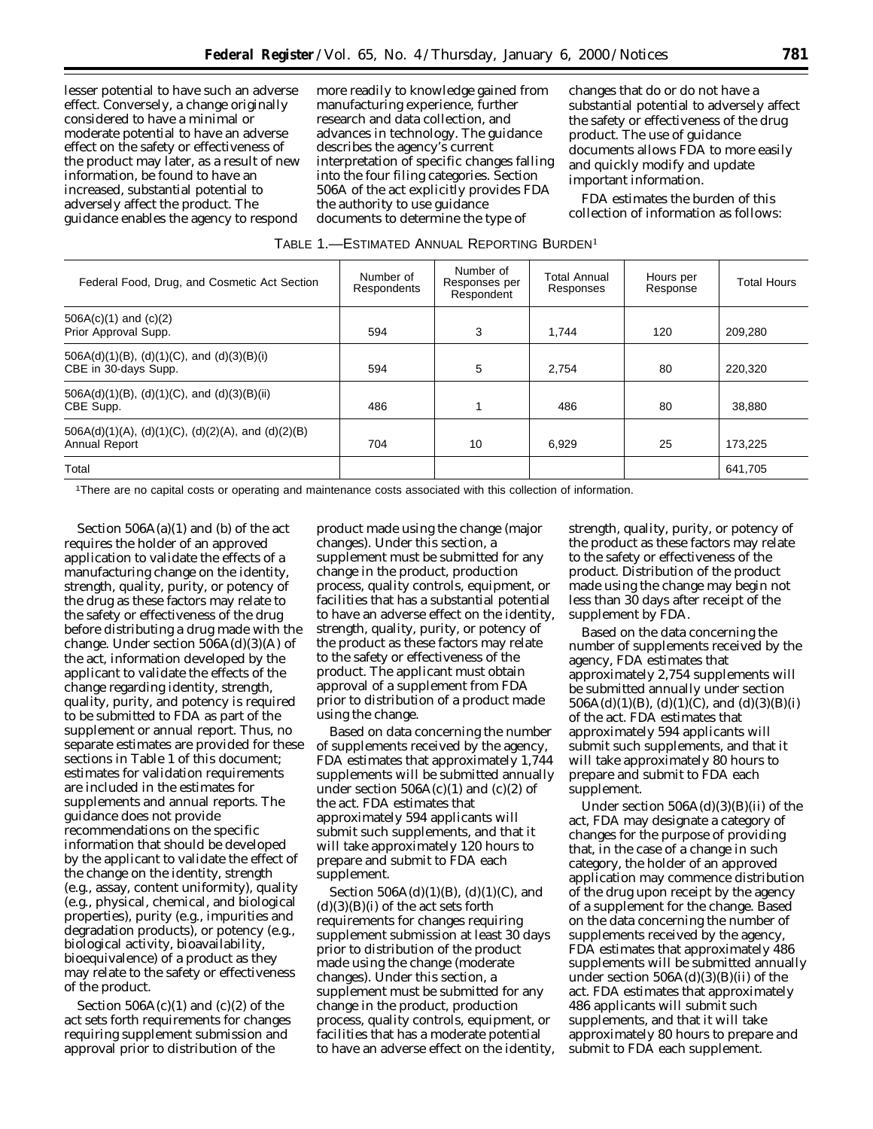lesser potential to have such an adverse effect. Conversely, a change originally considered to have a minimal or moderate potential to have an adverse effect on the safety or effectiveness of the product may later, as a result of new information, be found to have an increased, substantial potential to adversely affect the product. The guidance enables the agency to respond

more readily to knowledge gained from manufacturing experience, further research and data collection, and advances in technology. The guidance describes the agency's current interpretation of specific changes falling into the four filing categories. Section 506A of the act explicitly provides FDA the authority to use guidance documents to determine the type of

changes that do or do not have a substantial potential to adversely affect the safety or effectiveness of the drug product. The use of guidance documents allows FDA to more easily and quickly modify and update important information.

FDA estimates the burden of this collection of information as follows:

| TABLE 1.-ESTIMATED ANNUAL REPORTING BURDEN <sup>1</sup> |  |  |  |  |  |  |
|---------------------------------------------------------|--|--|--|--|--|--|
|---------------------------------------------------------|--|--|--|--|--|--|

| Federal Food, Drug, and Cosmetic Act Section                            | Number of<br>Respondents | Number of<br>Responses per<br>Respondent | Total Annual<br>Responses | Hours per<br>Response | <b>Total Hours</b> |
|-------------------------------------------------------------------------|--------------------------|------------------------------------------|---------------------------|-----------------------|--------------------|
| $506A(c)(1)$ and $(c)(2)$<br>Prior Approval Supp.                       | 594                      | 3                                        | 1.744                     | 120                   | 209.280            |
| 506A(d)(1)(B), (d)(1)(C), and (d)(3)(B)(i)<br>CBE in 30-days Supp.      | 594                      | 5                                        | 2,754                     | 80                    | 220,320            |
| $506A(d)(1)(B)$ , (d)(1)(C), and (d)(3)(B)(ii)<br>CBE Supp.             | 486                      |                                          | 486                       | 80                    | 38,880             |
| $506A(d)(1)(A), (d)(1)(C), (d)(2)(A),$ and $(d)(2)(B)$<br>Annual Report | 704                      | 10                                       | 6,929                     | 25                    | 173.225            |
| Total                                                                   |                          |                                          |                           |                       | 641,705            |

1There are no capital costs or operating and maintenance costs associated with this collection of information.

Section  $506A(a)(1)$  and (b) of the act requires the holder of an approved application to validate the effects of a manufacturing change on the identity, strength, quality, purity, or potency of the drug as these factors may relate to the safety or effectiveness of the drug before distributing a drug made with the change. Under section  $506A(d)(3)(A)$  of the act, information developed by the applicant to validate the effects of the change regarding identity, strength, quality, purity, and potency is required to be submitted to FDA as part of the supplement or annual report. Thus, no separate estimates are provided for these sections in Table 1 of this document; estimates for validation requirements are included in the estimates for supplements and annual reports. The guidance does not provide recommendations on the specific information that should be developed by the applicant to validate the effect of the change on the identity, strength (e.g., assay, content uniformity), quality (e.g., physical, chemical, and biological properties), purity (e.g., impurities and degradation products), or potency (e.g., biological activity, bioavailability, bioequivalence) of a product as they may relate to the safety or effectiveness of the product.

Section  $506A(c)(1)$  and  $(c)(2)$  of the act sets forth requirements for changes requiring supplement submission and approval prior to distribution of the

product made using the change (major changes). Under this section, a supplement must be submitted for any change in the product, production process, quality controls, equipment, or facilities that has a substantial potential to have an adverse effect on the identity, strength, quality, purity, or potency of the product as these factors may relate to the safety or effectiveness of the product. The applicant must obtain approval of a supplement from FDA prior to distribution of a product made using the change.

Based on data concerning the number of supplements received by the agency, FDA estimates that approximately 1,744 supplements will be submitted annually under section  $506A(c)(1)$  and  $(c)(2)$  of the act. FDA estimates that approximately 594 applicants will submit such supplements, and that it will take approximately 120 hours to prepare and submit to FDA each supplement.

Section 506A(d)(1)(B), (d)(1)(C), and  $(d)(3)(B)(i)$  of the act sets forth requirements for changes requiring supplement submission at least 30 days prior to distribution of the product made using the change (moderate changes). Under this section, a supplement must be submitted for any change in the product, production process, quality controls, equipment, or facilities that has a moderate potential to have an adverse effect on the identity,

strength, quality, purity, or potency of the product as these factors may relate to the safety or effectiveness of the product. Distribution of the product made using the change may begin not less than 30 days after receipt of the supplement by FDA.

Based on the data concerning the number of supplements received by the agency, FDA estimates that approximately 2,754 supplements will be submitted annually under section 506A(d)(1)(B), (d)(1)(C), and (d)(3)(B)(i) of the act. FDA estimates that approximately 594 applicants will submit such supplements, and that it will take approximately 80 hours to prepare and submit to FDA each supplement.

Under section  $506A(d)(3)(B(ii))$  of the act, FDA may designate a category of changes for the purpose of providing that, in the case of a change in such category, the holder of an approved application may commence distribution of the drug upon receipt by the agency of a supplement for the change. Based on the data concerning the number of supplements received by the agency, FDA estimates that approximately 486 supplements will be submitted annually under section  $506A(d)(3)(B(ii))$  of the act. FDA estimates that approximately 486 applicants will submit such supplements, and that it will take approximately 80 hours to prepare and submit to FDA each supplement.